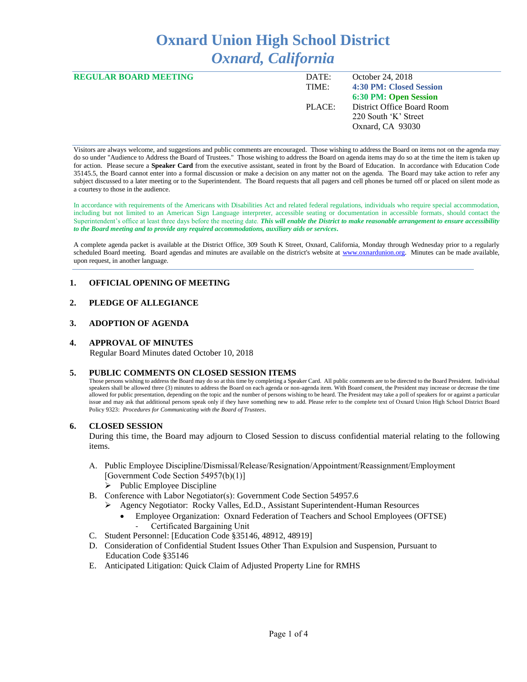# **Oxnard Union High School District** *Oxnard, California*

| <b>REGULAR BOARD MEETING</b> | DATE:  | October 24, 2018           |
|------------------------------|--------|----------------------------|
|                              | TIME:  | 4:30 PM: Closed Session    |
|                              |        | 6:30 PM: Open Session      |
|                              | PLACE: | District Office Board Room |
|                              |        | 220 South 'K' Street       |
|                              |        | Oxnard, CA 93030           |
|                              |        |                            |

Visitors are always welcome, and suggestions and public comments are encouraged. Those wishing to address the Board on items not on the agenda may do so under "Audience to Address the Board of Trustees." Those wishing to address the Board on agenda items may do so at the time the item is taken up for action. Please secure a **Speaker Card** from the executive assistant, seated in front by the Board of Education. In accordance with Education Code 35145.5, the Board cannot enter into a formal discussion or make a decision on any matter not on the agenda. The Board may take action to refer any subject discussed to a later meeting or to the Superintendent. The Board requests that all pagers and cell phones be turned off or placed on silent mode as a courtesy to those in the audience.

In accordance with requirements of the Americans with Disabilities Act and related federal regulations, individuals who require special accommodation, including but not limited to an American Sign Language interpreter, accessible seating or documentation in accessible formats, should contact the Superintendent's office at least three days before the meeting date. *This will enable the District to make reasonable arrangement to ensure accessibility to the Board meeting and to provide any required accommodations, auxiliary aids or services.* 

A complete agenda packet is available at the District Office, 309 South K Street, Oxnard, California, Monday through Wednesday prior to a regularly scheduled Board meeting. Board agendas and minutes are available on the district's website at [www.ox](http://www.o/)nardunion.org.Minutes can be made available, upon request, in another language.

# **1. OFFICIAL OPENING OF MEETING**

# **2. PLEDGE OF ALLEGIANCE**

#### **3. ADOPTION OF AGENDA**

#### **4. APPROVAL OF MINUTES**

Regular Board Minutes dated October 10, 2018

#### **5. PUBLIC COMMENTS ON CLOSED SESSION ITEMS**

Those persons wishing to address the Board may do so at this time by completing a Speaker Card. All public comments are to be directed to the Board President. Individual speakers shall be allowed three (3) minutes to address the Board on each agenda or non-agenda item. With Board consent, the President may increase or decrease the time allowed for public presentation, depending on the topic and the number of persons wishing to be heard. The President may take a poll of speakers for or against a particular issue and may ask that additional persons speak only if they have something new to add. Please refer to the complete text of Oxnard Union High School District Board Policy 9323: *Procedures for Communicating with the Board of Trustees*.

#### **6. CLOSED SESSION**

During this time, the Board may adjourn to Closed Session to discuss confidential material relating to the following items.

- A. Public Employee Discipline/Dismissal/Release/Resignation/Appointment/Reassignment/Employment [Government Code Section 54957(b)(1)]
	- ➢ Public Employee Discipline
- B. Conference with Labor Negotiator(s): Government Code Section 54957.6
	- ➢ Agency Negotiator: Rocky Valles, Ed.D., Assistant Superintendent-Human Resources
		- Employee Organization: Oxnard Federation of Teachers and School Employees (OFTSE) Certificated Bargaining Unit
- C. Student Personnel: [Education Code §35146, 48912, 48919]
- D. Consideration of Confidential Student Issues Other Than Expulsion and Suspension, Pursuant to Education Code §35146
- E. Anticipated Litigation: Quick Claim of Adjusted Property Line for RMHS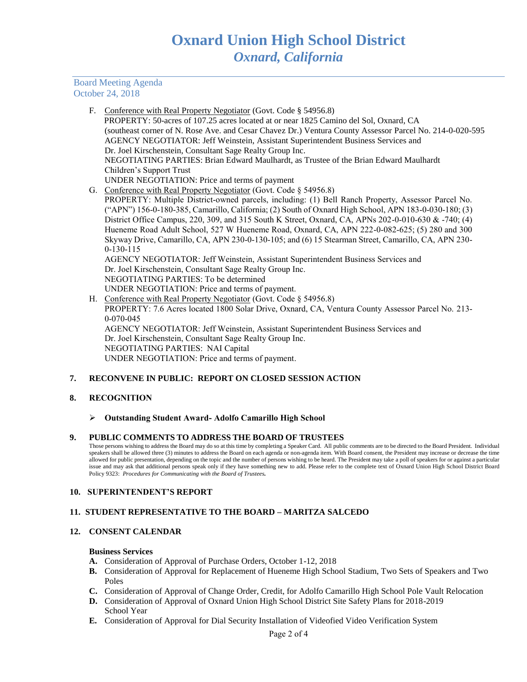Board Meeting Agenda October 24, 2018

| F. | Conference with Real Property Negotiator (Govt. Code § 54956.8)                                          |
|----|----------------------------------------------------------------------------------------------------------|
|    | PROPERTY: 50-acres of 107.25 acres located at or near 1825 Camino del Sol, Oxnard, CA                    |
|    | (southeast corner of N. Rose Ave. and Cesar Chavez Dr.) Ventura County Assessor Parcel No. 214-0-020-595 |
|    | AGENCY NEGOTIATOR: Jeff Weinstein, Assistant Superintendent Business Services and                        |
|    | Dr. Joel Kirschenstein, Consultant Sage Realty Group Inc.                                                |
|    | NEGOTIATING PARTIES: Brian Edward Maulhardt, as Trustee of the Brian Edward Maulhardt                    |
|    | Children's Support Trust                                                                                 |
|    | UNDER NEGOTIATION: Price and terms of payment                                                            |
|    | G. Conference with Real Property Negotiator (Govt. Code § 54956.8)                                       |
|    | PROPERTY: Multiple District-owned parcels, including: (1) Bell Ranch Property, Assessor Parcel No.       |
|    | ("APN") 156-0-180-385, Camarillo, California; (2) South of Oxnard High School, APN 183-0-030-180; (3)    |
|    | District Office Campus, 220, 309, and 315 South K Street, Oxnard, CA, APNs 202-0-010-630 & -740; (4)     |
|    | Hueneme Road Adult School, 527 W Hueneme Road, Oxnard, CA, APN 222-0-082-625; (5) 280 and 300            |
|    | Skyway Drive, Camarillo, CA, APN 230-0-130-105; and (6) 15 Stearman Street, Camarillo, CA, APN 230-      |
|    | $0-130-115$                                                                                              |
|    | AGENCY NEGOTIATOR: Jeff Weinstein, Assistant Superintendent Business Services and                        |
|    | Dr. Joel Kirschenstein, Consultant Sage Realty Group Inc.                                                |
|    | NEGOTIATING PARTIES: To be determined                                                                    |
|    | UNDER NEGOTIATION: Price and terms of payment.                                                           |
|    | H. Conference with Real Property Negotiator (Govt. Code $\S$ 54956.8)                                    |
|    | PROPERTY: 7.6 Acres located 1800 Solar Drive, Oxnard, CA, Ventura County Assessor Parcel No. 213-        |
|    | $0-070-045$                                                                                              |
|    | AGENCY NEGOTIATOR: Jeff Weinstein, Assistant Superintendent Business Services and                        |
|    | Dr. Joel Kirschenstein, Consultant Sage Realty Group Inc.                                                |
|    | NEGOTIATING PARTIES: NAI Capital                                                                         |

UNDER NEGOTIATION: Price and terms of payment.

# **7. RECONVENE IN PUBLIC: REPORT ON CLOSED SESSION ACTION**

# **8. RECOGNITION**

#### ➢ **Outstanding Student Award- Adolfo Camarillo High School**

# **9. PUBLIC COMMENTS TO ADDRESS THE BOARD OF TRUSTEES**

Those persons wishing to address the Board may do so at this time by completing a Speaker Card. All public comments are to be directed to the Board President. Individual speakers shall be allowed three (3) minutes to address the Board on each agenda or non-agenda item. With Board consent, the President may increase or decrease the time allowed for public presentation, depending on the topic and the number of persons wishing to be heard. The President may take a poll of speakers for or against a particular issue and may ask that additional persons speak only if they have something new to add. Please refer to the complete text of Oxnard Union High School District Board Policy 9323: *Procedures for Communicating with the Board of Trustees.*

#### **10. SUPERINTENDENT'S REPORT**

# **11. STUDENT REPRESENTATIVE TO THE BOARD – MARITZA SALCEDO**

# **12. CONSENT CALENDAR**

#### **Business Services**

- **A.** Consideration of Approval of Purchase Orders, October 1-12, 2018
- **B.** Consideration of Approval for Replacement of Hueneme High School Stadium, Two Sets of Speakers and Two Poles
- **C.** Consideration of Approval of Change Order, Credit, for Adolfo Camarillo High School Pole Vault Relocation
- **D.** Consideration of Approval of Oxnard Union High School District Site Safety Plans for 2018-2019 School Year
- **E.** Consideration of Approval for Dial Security Installation of Videofied Video Verification System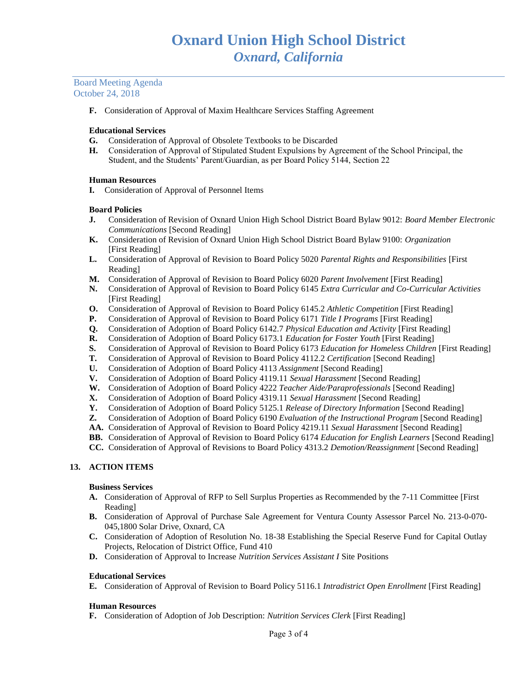Board Meeting Agenda October 24, 2018

**F.** Consideration of Approval of Maxim Healthcare Services Staffing Agreement

## **Educational Services**

- **G.** Consideration of Approval of Obsolete Textbooks to be Discarded
- **H.** Consideration of Approval of Stipulated Student Expulsions by Agreement of the School Principal, the Student, and the Students' Parent/Guardian, as per Board Policy 5144, Section 22

## **Human Resources**

**I.** Consideration of Approval of Personnel Items

## **Board Policies**

- **J.** Consideration of Revision of Oxnard Union High School District Board Bylaw 9012: *Board Member Electronic Communications* [Second Reading]
- **K.** Consideration of Revision of Oxnard Union High School District Board Bylaw 9100: *Organization* [First Reading]
- **L.** Consideration of Approval of Revision to Board Policy 5020 *Parental Rights and Responsibilities* [First Reading]
- **M.** Consideration of Approval of Revision to Board Policy 6020 *Parent Involvement* [First Reading]
- **N.** Consideration of Approval of Revision to Board Policy 6145 *Extra Curricular and Co-Curricular Activities* [First Reading]
- **O.** Consideration of Approval of Revision to Board Policy 6145.2 *Athletic Competition* [First Reading]
- **P.** Consideration of Approval of Revision to Board Policy 6171 *Title I Programs* [First Reading]
- **Q.** Consideration of Adoption of Board Policy 6142.7 *Physical Education and Activity* [First Reading]
- **R.** Consideration of Adoption of Board Policy 6173.1 *Education for Foster Youth* [First Reading]
- **S.** Consideration of Approval of Revision to Board Policy 6173 *Education for Homeless Children* [First Reading]
- **T.** Consideration of Approval of Revision to Board Policy 4112.2 *Certification* [Second Reading]
- **U.** Consideration of Adoption of Board Policy 4113 *Assignment* [Second Reading]
- **V.** Consideration of Adoption of Board Policy 4119.11 *Sexual Harassment* [Second Reading]
- **W.** Consideration of Adoption of Board Policy 4222 *Teacher Aide/Paraprofessionals* [Second Reading]
- **X.** Consideration of Adoption of Board Policy 4319.11 *Sexual Harassment* [Second Reading]
- **Y.** Consideration of Adoption of Board Policy 5125.1 *Release of Directory Information* [Second Reading]
- **Z.** Consideration of Adoption of Board Policy 6190 *Evaluation of the Instructional Program* [Second Reading]
- **AA.** Consideration of Approval of Revision to Board Policy 4219.11 *Sexual Harassment* [Second Reading]
- **BB.** Consideration of Approval of Revision to Board Policy 6174 *Education for English Learners* [Second Reading]
- **CC.** Consideration of Approval of Revisions to Board Policy 4313.2 *Demotion/Reassignment* [Second Reading]

# **13. ACTION ITEMS**

#### **Business Services**

- **A.** Consideration of Approval of RFP to Sell Surplus Properties as Recommended by the 7-11 Committee [First Reading]
- **B.** Consideration of Approval of Purchase Sale Agreement for Ventura County Assessor Parcel No. 213-0-070- 045,1800 Solar Drive, Oxnard, CA
- **C.** Consideration of Adoption of Resolution No. 18-38 Establishing the Special Reserve Fund for Capital Outlay Projects, Relocation of District Office, Fund 410
- **D.** Consideration of Approval to Increase *Nutrition Services Assistant I* Site Positions

#### **Educational Services**

**E.** Consideration of Approval of Revision to Board Policy 5116.1 *Intradistrict Open Enrollment* [First Reading]

# **Human Resources**

**F.** Consideration of Adoption of Job Description: *Nutrition Services Clerk* [First Reading]